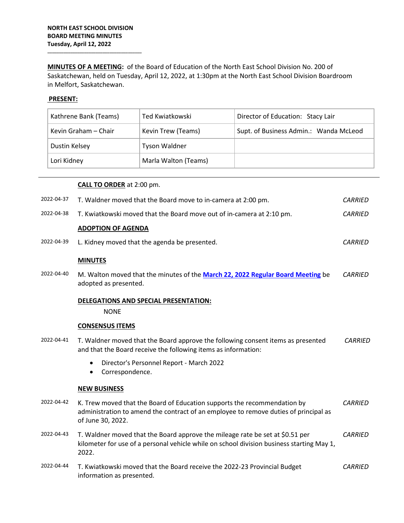**\_\_\_\_\_\_\_\_\_\_\_\_\_\_\_\_\_\_\_\_\_\_\_\_\_\_\_\_\_\_\_\_\_\_\_\_\_\_\_\_\_**

**MINUTES OF A MEETING:** of the Board of Education of the North East School Division No. 200 of Saskatchewan, held on Tuesday, April 12, 2022, at 1:30pm at the North East School Division Boardroom in Melfort, Saskatchewan.

## **PRESENT:**

| Kathrene Bank (Teams) | Ted Kwiatkowski      | Director of Education: Stacy Lair      |
|-----------------------|----------------------|----------------------------------------|
| Kevin Graham - Chair  | Kevin Trew (Teams)   | Supt. of Business Admin.: Wanda McLeod |
| Dustin Kelsey         | Tyson Waldner        |                                        |
| Lori Kidney           | Marla Walton (Teams) |                                        |

|            | <b>CALL TO ORDER</b> at 2:00 pm.                                                                                                                                                      |                |
|------------|---------------------------------------------------------------------------------------------------------------------------------------------------------------------------------------|----------------|
| 2022-04-37 | T. Waldner moved that the Board move to in-camera at 2:00 pm.                                                                                                                         | <i>CARRIED</i> |
| 2022-04-38 | T. Kwiatkowski moved that the Board move out of in-camera at 2:10 pm.                                                                                                                 | <b>CARRIED</b> |
|            | <b>ADOPTION OF AGENDA</b>                                                                                                                                                             |                |
| 2022-04-39 | L. Kidney moved that the agenda be presented.                                                                                                                                         | <b>CARRIED</b> |
|            | <b>MINUTES</b>                                                                                                                                                                        |                |
| 2022-04-40 | M. Walton moved that the minutes of the March 22, 2022 Regular Board Meeting be<br>adopted as presented.                                                                              | <b>CARRIED</b> |
|            | DELEGATIONS AND SPECIAL PRESENTATION:                                                                                                                                                 |                |
|            | <b>NONE</b>                                                                                                                                                                           |                |
|            | <b>CONSENSUS ITEMS</b>                                                                                                                                                                |                |
| 2022-04-41 | T. Waldner moved that the Board approve the following consent items as presented<br>and that the Board receive the following items as information:                                    | <b>CARRIED</b> |
|            | Director's Personnel Report - March 2022<br>Correspondence.                                                                                                                           |                |
|            | <b>NEW BUSINESS</b>                                                                                                                                                                   |                |
| 2022-04-42 | K. Trew moved that the Board of Education supports the recommendation by<br>administration to amend the contract of an employee to remove duties of principal as<br>of June 30, 2022. | <b>CARRIED</b> |
| 2022-04-43 | T. Waldner moved that the Board approve the mileage rate be set at \$0.51 per<br>kilometer for use of a personal vehicle while on school division business starting May 1,<br>2022.   | <b>CARRIED</b> |
| 2022-04-44 | T. Kwiatkowski moved that the Board receive the 2022-23 Provincial Budget<br>information as presented.                                                                                | CARRIED        |